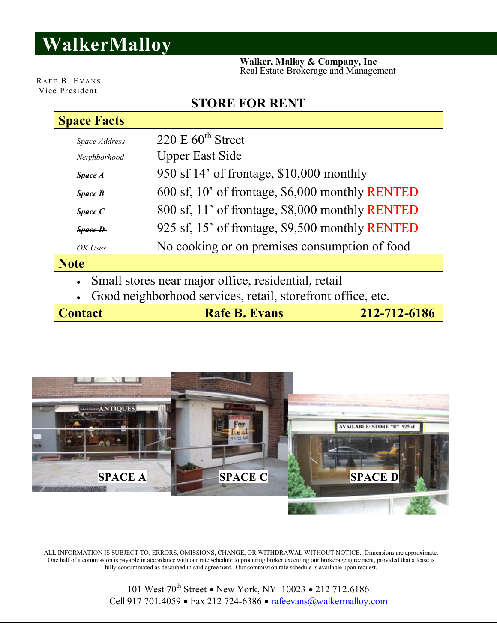## **WalkerMalloy**

 **Walker, Malloy & Company, Inc** Real Estate Brokerage and Management

RAFE B. EVANS Vice President

## **STORE FOR RENT**

| <b>Space Facts</b>                                          |                                                 |  |
|-------------------------------------------------------------|-------------------------------------------------|--|
| Space Address                                               | 220 E $60^{\text{th}}$ Street                   |  |
| Neighborhood                                                | <b>Upper East Side</b>                          |  |
| Space A                                                     | 950 sf 14' of frontage, \$10,000 monthly        |  |
| Space B                                                     | 600 sf, 10' of frontage, \$6,000 monthly RENTED |  |
| <b>Space C</b>                                              | 800 sf, 11' of frontage, \$8,000 monthly RENTED |  |
| <b>Space D</b>                                              | 925 sf, 15' of frontage, \$9,500 monthly RENTED |  |
| OK Uses                                                     | No cooking or on premises consumption of food   |  |
| <b>Note</b>                                                 |                                                 |  |
| Small stores near major office, residential, retail         |                                                 |  |
| Good neighborhood services, retail, storefront office, etc. |                                                 |  |

**Contact Rafe B. Evans** 212-712-6186



ALL INFORMATION IS SUBJECT TO, ERRORS, OMISSIONS, CHANGE, OR WITHDRAWAL WITHOUT NOTICE. Dimensions are approximate. One half of a commission is payable in accordance with our rate schedule to procuring broker executing our brokerage agreement, provided that a lease is fully consummated as described in said agreement. Our commission rate schedule is available upon request.

> 101 West 70<sup>th</sup> Street • New York, NY 10023 • 212 712.6186 Cell 917 701.4059 • Fax 212 724-6386 • rafeevans@walkermalloy.com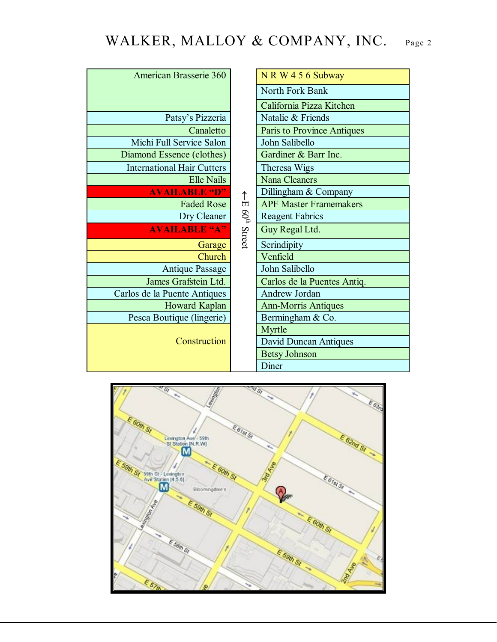## WALKER, MALLOY & COMPANY, INC. Page 2

| American Brasserie 360            |  | $N R W 4 5 6$ Subway          |
|-----------------------------------|--|-------------------------------|
|                                   |  | North Fork Bank               |
|                                   |  | California Pizza Kitchen      |
| Patsy's Pizzeria                  |  | Natalie & Friends             |
| Canaletto                         |  | Paris to Province Antiques    |
| Michi Full Service Salon          |  | John Salibello                |
| Diamond Essence (clothes)         |  | Gardiner & Barr Inc.          |
| <b>International Hair Cutters</b> |  | Theresa Wigs                  |
| Elle Nails                        |  | <b>Nana Cleaners</b>          |
| <b>AVAILABLE 'D"</b>              |  | Dillingham & Company          |
| <b>Faded Rose</b>                 |  | <b>APF Master Framemakers</b> |
| Dry Cleaner                       |  | <b>Reagent Fabrics</b>        |
| <b>AVAILABLE "A"</b>              |  | Guy Regal Ltd.                |
| Garage                            |  | Serindipity                   |
| Church                            |  | Venfield                      |
| <b>Antique Passage</b>            |  | John Salibello                |
| James Grafstein Ltd.              |  | Carlos de la Puentes Antiq.   |
| Carlos de la Puente Antiques      |  | Andrew Jordan                 |
| Howard Kaplan                     |  | <b>Ann-Morris Antiques</b>    |
| Pesca Boutique (lingerie)         |  | Bermingham & Co.              |
| Construction                      |  | Myrtle                        |
|                                   |  | <b>David Duncan Antiques</b>  |
|                                   |  | <b>Betsy Johnson</b>          |
|                                   |  | Diner                         |